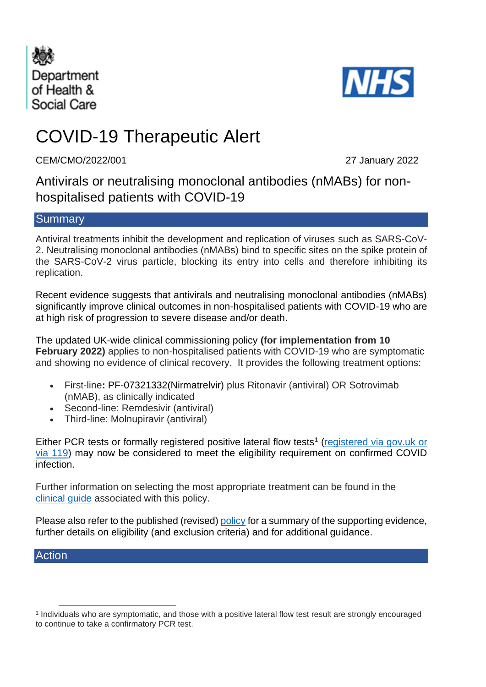



# COVID-19 Therapeutic Alert

CEM/CMO/2022/001 27 January 2022

Antivirals or neutralising monoclonal antibodies (nMABs) for nonhospitalised patients with COVID-19

## **Summary**

Antiviral treatments inhibit the development and replication of viruses such as SARS-CoV-2. Neutralising monoclonal antibodies (nMABs) bind to specific sites on the spike protein of the SARS-CoV-2 virus particle, blocking its entry into cells and therefore inhibiting its replication.

Recent evidence suggests that antivirals and neutralising monoclonal antibodies (nMABs) significantly improve clinical outcomes in non-hospitalised patients with COVID-19 who are at high risk of progression to severe disease and/or death.

The updated UK-wide clinical commissioning policy **(for implementation from 10 February 2022)** applies to non-hospitalised patients with COVID-19 who are symptomatic and showing no evidence of clinical recovery. It provides the following treatment options:

- First-line**:** PF-07321332(Nirmatrelvir) plus Ritonavir (antiviral) OR Sotrovimab (nMAB), as clinically indicated
- Second-line: Remdesivir (antiviral)
- Third-line: Molnupiravir (antiviral)

Either PCR tests or formally registered positive lateral flow tests<sup>1</sup> [\(registered via gov.uk](https://www.gov.uk/report-covid19-result) or via 119) may now be considered to meet the eligibility requirement on confirmed COVID infection.

Further information on selecting the most appropriate treatment can be found in the [clinical guide](https://www.cas.mhra.gov.uk/ViewandAcknowledgment/ViewAlert.aspx?AlertID=103191) associated with this policy.

Please also refer to the published (revised) [policy](https://www.cas.mhra.gov.uk/ViewandAcknowledgment/ViewAlert.aspx?AlertID=103191) for a summary of the supporting evidence, further details on eligibility (and exclusion criteria) and for additional guidance.

## Action

<sup>1</sup> Individuals who are symptomatic, and those with a positive lateral flow test result are strongly encouraged to continue to take a confirmatory PCR test.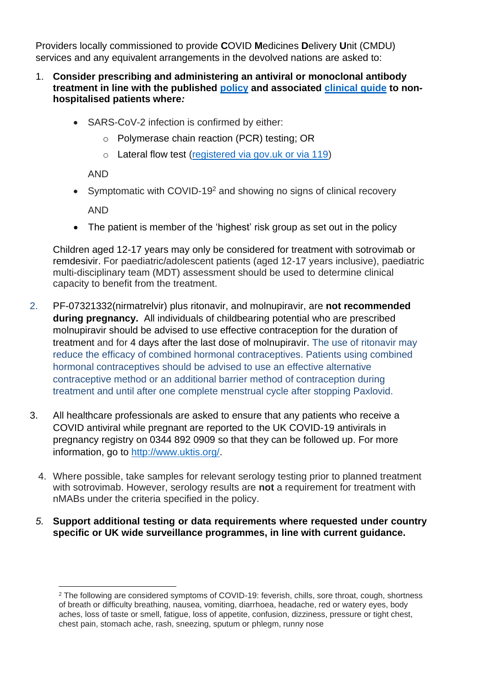Providers locally commissioned to provide **C**OVID **M**edicines **D**elivery **U**nit (CMDU) services and any equivalent arrangements in the devolved nations are asked to:

- 1. **Consider prescribing and administering an antiviral or monoclonal antibody treatment in line with the published [policy](https://www.cas.mhra.gov.uk/ViewandAcknowledgment/ViewAlert.aspx?AlertID=103191) and associated [clinical guide](https://www.cas.mhra.gov.uk/ViewandAcknowledgment/ViewAlert.aspx?AlertID=103191) to nonhospitalised patients where***:*
	- SARS-CoV-2 infection is confirmed by either:
		- o Polymerase chain reaction (PCR) testing; OR
		- o Lateral flow test [\(registered via gov.uk](https://www.gov.uk/report-covid19-result) or via 119)

AND

• Symptomatic with COVID-19<sup>2</sup> and showing no signs of clinical recovery

AND

• The patient is member of the 'highest' risk group as set out in the policy

Children aged 12-17 years may only be considered for treatment with sotrovimab or remdesivir. For paediatric/adolescent patients (aged 12-17 years inclusive), paediatric multi-disciplinary team (MDT) assessment should be used to determine clinical capacity to benefit from the treatment.

- 2. PF-07321332(nirmatrelvir) plus ritonavir, and molnupiravir, are **not recommended during pregnancy.** All individuals of childbearing potential who are prescribed molnupiravir should be advised to use effective contraception for the duration of treatment and for 4 days after the last dose of molnupiravir. The use of ritonavir may reduce the efficacy of combined hormonal contraceptives. Patients using combined hormonal contraceptives should be advised to use an effective alternative contraceptive method or an additional barrier method of contraception during treatment and until after one complete menstrual cycle after stopping Paxlovid.
- 3. All healthcare professionals are asked to ensure that any patients who receive a COVID antiviral while pregnant are reported to the UK COVID-19 antivirals in pregnancy registry on 0344 892 0909 so that they can be followed up. For more information, go to [http://www.uktis.org/.](http://www.uktis.org/)
	- 4. Where possible, take samples for relevant serology testing prior to planned treatment with sotrovimab. However, serology results are **not** a requirement for treatment with nMABs under the criteria specified in the policy.
	- *5.* **Support additional testing or data requirements where requested under country specific or UK wide surveillance programmes, in line with current guidance.**

<sup>2</sup> The following are considered symptoms of COVID-19: feverish, chills, sore throat, cough, shortness of breath or difficulty breathing, nausea, vomiting, diarrhoea, headache, red or watery eyes, body aches, loss of taste or smell, fatigue, loss of appetite, confusion, dizziness, pressure or tight chest, chest pain, stomach ache, rash, sneezing, sputum or phlegm, runny nose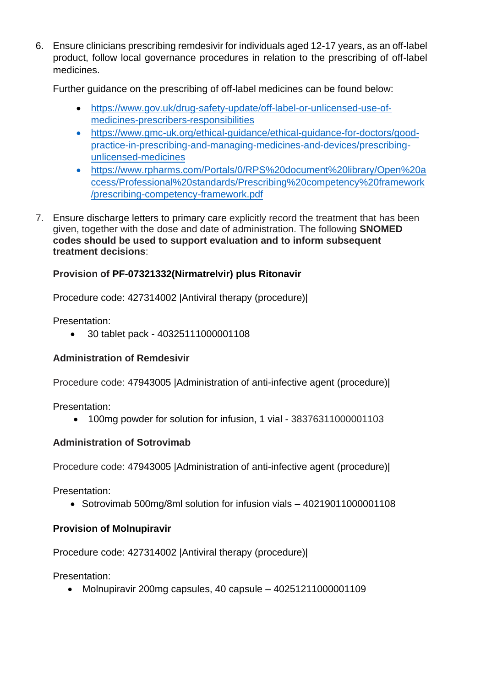6. Ensure clinicians prescribing remdesivir for individuals aged 12-17 years, as an off-label product, follow local governance procedures in relation to the prescribing of off-label medicines.

Further guidance on the prescribing of off-label medicines can be found below:

- [https://www.gov.uk/drug-safety-update/off-label-or-unlicensed-use-of](https://www.gov.uk/drug-safety-update/off-label-or-unlicensed-use-of-medicines-prescribers-responsibilities)[medicines-prescribers-responsibilities](https://www.gov.uk/drug-safety-update/off-label-or-unlicensed-use-of-medicines-prescribers-responsibilities)
- [https://www.gmc-uk.org/ethical-guidance/ethical-guidance-for-doctors/good](https://www.gmc-uk.org/ethical-guidance/ethical-guidance-for-doctors/good-practice-in-prescribing-and-managing-medicines-and-devices/prescribing-unlicensed-medicines)[practice-in-prescribing-and-managing-medicines-and-devices/prescribing](https://www.gmc-uk.org/ethical-guidance/ethical-guidance-for-doctors/good-practice-in-prescribing-and-managing-medicines-and-devices/prescribing-unlicensed-medicines)[unlicensed-medicines](https://www.gmc-uk.org/ethical-guidance/ethical-guidance-for-doctors/good-practice-in-prescribing-and-managing-medicines-and-devices/prescribing-unlicensed-medicines)
- https://www.rpharms.com/Portals/0/RPS%20document%20library/Open%20a ccess/Professional%20standards/Prescribing%20competency%20framework /prescribing-competency-framework.pdf
- 7. Ensure discharge letters to primary care explicitly record the treatment that has been given, together with the dose and date of administration. The following **SNOMED codes should be used to support evaluation and to inform subsequent treatment decisions**:

# **Provision of PF-07321332(Nirmatrelvir) plus Ritonavir**

Procedure code: 427314002 |Antiviral therapy (procedure)|

Presentation:

• 30 tablet pack - 40325111000001108

## **Administration of Remdesivir**

Procedure code: 47943005 |Administration of anti-infective agent (procedure)|

Presentation:

• 100mg powder for solution for infusion, 1 vial - 38376311000001103

# **Administration of Sotrovimab**

Procedure code: 47943005 |Administration of anti-infective agent (procedure)|

Presentation:

• Sotrovimab 500mg/8ml solution for infusion vials – 40219011000001108

# **Provision of Molnupiravir**

Procedure code: 427314002 |Antiviral therapy (procedure)|

Presentation:

• Molnupiravir 200mg capsules, 40 capsule – 40251211000001109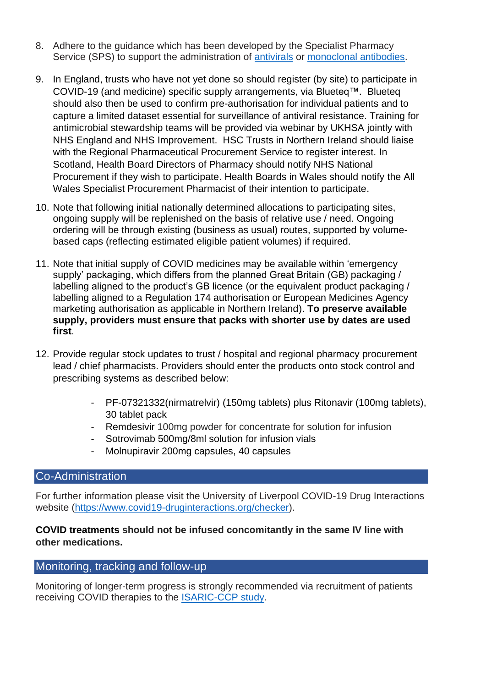- 8. Adhere to the guidance which has been developed by the Specialist Pharmacy Service (SPS) to support the administration of [antivirals](https://www.sps.nhs.uk/home/guidance/covid-19-treatments/oral-antivirals/) or [monoclonal antibodies.](https://www.sps.nhs.uk/home/guidance/covid-19-treatments/neutralising-monoclonal-antibodies/)
- 9. In England, trusts who have not yet done so should register (by site) to participate in COVID-19 (and medicine) specific supply arrangements, via Blueteq™. Blueteq should also then be used to confirm pre-authorisation for individual patients and to capture a limited dataset essential for surveillance of antiviral resistance. Training for antimicrobial stewardship teams will be provided via webinar by UKHSA jointly with NHS England and NHS Improvement. HSC Trusts in Northern Ireland should liaise with the Regional Pharmaceutical Procurement Service to register interest. In Scotland, Health Board Directors of Pharmacy should notify NHS National Procurement if they wish to participate. Health Boards in Wales should notify the All Wales Specialist Procurement Pharmacist of their intention to participate.
- 10. Note that following initial nationally determined allocations to participating sites, ongoing supply will be replenished on the basis of relative use / need. Ongoing ordering will be through existing (business as usual) routes, supported by volumebased caps (reflecting estimated eligible patient volumes) if required.
- 11. Note that initial supply of COVID medicines may be available within 'emergency supply' packaging, which differs from the planned Great Britain (GB) packaging / labelling aligned to the product's GB licence (or the equivalent product packaging / labelling aligned to a Regulation 174 authorisation or European Medicines Agency marketing authorisation as applicable in Northern Ireland). **To preserve available supply, providers must ensure that packs with shorter use by dates are used first**.
- 12. Provide regular stock updates to trust / hospital and regional pharmacy procurement lead / chief pharmacists. Providers should enter the products onto stock control and prescribing systems as described below:
	- PF-07321332(nirmatrelvir) (150mg tablets) plus Ritonavir (100mg tablets), 30 tablet pack
	- Remdesivir 100mg powder for concentrate for solution for infusion
	- Sotrovimab 500mg/8ml solution for infusion vials
	- Molnupiravir 200mg capsules, 40 capsules

## Co-Administration

For further information please visit the University of Liverpool COVID-19 Drug Interactions website [\(https://www.covid19-druginteractions.org/checker\)](https://www.covid19-druginteractions.org/checker).

## **COVID treatments should not be infused concomitantly in the same IV line with other medications.**

# Monitoring, tracking and follow-up

Monitoring of longer-term progress is strongly recommended via recruitment of patients receiving COVID therapies to the [ISARIC-CCP study.](https://isaric4c.net/)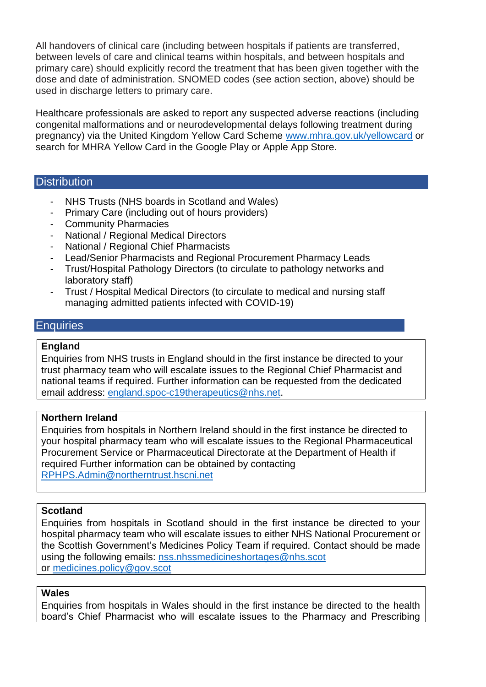All handovers of clinical care (including between hospitals if patients are transferred, between levels of care and clinical teams within hospitals, and between hospitals and primary care) should explicitly record the treatment that has been given together with the dose and date of administration. SNOMED codes (see action section, above) should be used in discharge letters to primary care.

Healthcare professionals are asked to report any suspected adverse reactions (including congenital malformations and or neurodevelopmental delays following treatment during pregnancy) via the United Kingdom Yellow Card Scheme [www.mhra.gov.uk/yellowcard](http://www.mhra.gov.uk/yellowcard) or search for MHRA Yellow Card in the Google Play or Apple App Store.

#### **Distribution**

- NHS Trusts (NHS boards in Scotland and Wales)
- Primary Care (including out of hours providers)
- Community Pharmacies
- National / Regional Medical Directors
- National / Regional Chief Pharmacists
- Lead/Senior Pharmacists and Regional Procurement Pharmacy Leads
- Trust/Hospital Pathology Directors (to circulate to pathology networks and laboratory staff)
- Trust / Hospital Medical Directors (to circulate to medical and nursing staff managing admitted patients infected with COVID-19)

#### **Enquiries**

#### **England**

Enquiries from NHS trusts in England should in the first instance be directed to your trust pharmacy team who will escalate issues to the Regional Chief Pharmacist and national teams if required. Further information can be requested from the dedicated email address: [england.spoc-c19therapeutics@nhs.net.](mailto:england.spoc-c19therapeutics@nhs.net)

#### **Northern Ireland**

Enquiries from hospitals in Northern Ireland should in the first instance be directed to your hospital pharmacy team who will escalate issues to the Regional Pharmaceutical Procurement Service or Pharmaceutical Directorate at the Department of Health if required Further information can be obtained by contacting [RPHPS.Admin@northerntrust.hscni.net](mailto:RPHPS.Admin@northerntrust.hscni.net)

#### **Scotland**

Enquiries from hospitals in Scotland should in the first instance be directed to your hospital pharmacy team who will escalate issues to either NHS National Procurement or the Scottish Government's Medicines Policy Team if required. Contact should be made using the following emails: [nss.nhssmedicineshortages@nhs.scot](mailto:nss.nhssmedicineshortages@nhs.scot) or [medicines.policy@gov.scot](mailto:medicines.policy@gov.scot)

#### **Wales**

Enquiries from hospitals in Wales should in the first instance be directed to the health board's Chief Pharmacist who will escalate issues to the Pharmacy and Prescribing